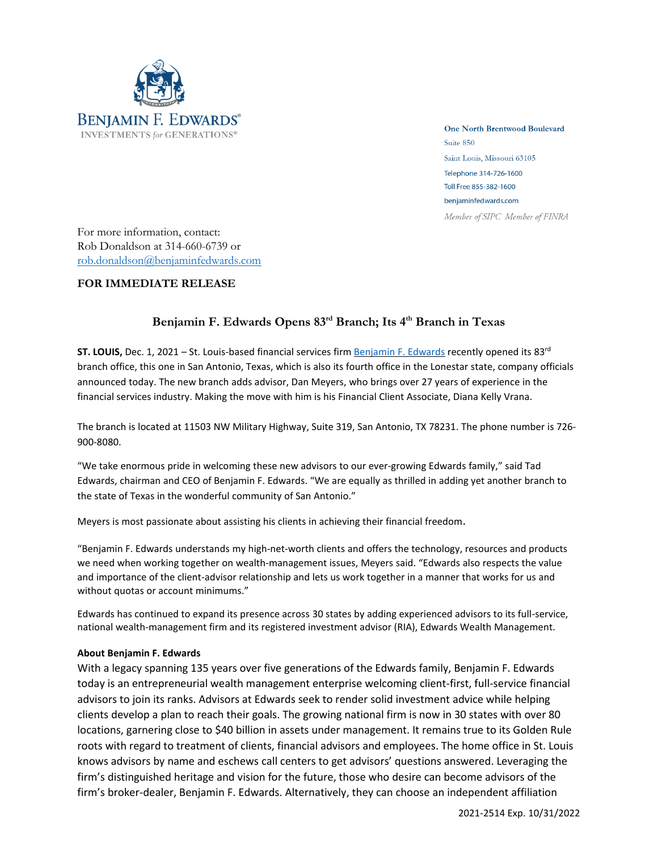

**One North Brentwood Boulevard** Suite 850 Saint Louis, Missouri 63105 Telephone 314-726-1600 Toll Free 855-382-1600 benjaminfedwards.com Member of SIPC Member of FINRA

For more information, contact: Rob Donaldson at 314-660-6739 or [rob.donaldson@benjaminfedwards.com](mailto:rob.donaldson@benjaminfedwards.com)

## **FOR IMMEDIATE RELEASE**

## **Benjamin F. Edwards Opens 83 rd Branch; Its 4th Branch in Texas**

**ST. LOUIS,** Dec. 1, 2021 – St. Louis-based financial services firm <u>[Benjamin](https://benjaminfedwards.com/) F. Edwards</u> recently opened its 83<sup>rd</sup> branch office, this one in San Antonio, Texas, which is also its fourth office in the Lonestar state, company officials announced today. The new branch adds advisor, Dan Meyers, who brings over 27 years of experience in the financial services industry. Making the move with him is his Financial Client Associate, Diana Kelly Vrana.

The branch is located at 11503 NW Military Highway, Suite 319, San Antonio, TX 78231. The phone number is 726- 900-8080.

"We take enormous pride in welcoming these new advisors to our ever-growing Edwards family," said Tad Edwards, chairman and CEO of Benjamin F. Edwards. "We are equally as thrilled in adding yet another branch to the state of Texas in the wonderful community of San Antonio."

Meyers is most passionate about assisting his clients in achieving their financial freedom.

"Benjamin F. Edwards understands my high-net-worth clients and offers the technology, resources and products we need when working together on wealth-management issues, Meyers said. "Edwards also respects the value and importance of the client-advisor relationship and lets us work together in a manner that works for us and without quotas or account minimums."

Edwards has continued to expand its presence across 30 states by adding experienced advisors to its full-service, national wealth-management firm and its registered investment advisor (RIA), Edwards Wealth Management.

## **About Benjamin F. Edwards**

With a legacy spanning 135 years over five generations of the Edwards family, Benjamin F. Edwards today is an entrepreneurial wealth management enterprise welcoming client-first, full-service financial advisors to join its ranks. Advisors at Edwards seek to render solid investment advice while helping clients develop a plan to reach their goals. The growing national firm is now in 30 states with over 80 locations, garnering close to \$40 billion in assets under management. It remains true to its Golden Rule roots with regard to treatment of clients, financial advisors and employees. The home office in St. Louis knows advisors by name and eschews call centers to get advisors' questions answered. Leveraging the firm's distinguished heritage and vision for the future, those who desire can become advisors of the firm's broker-dealer, Benjamin F. Edwards. Alternatively, they can choose an independent affiliation